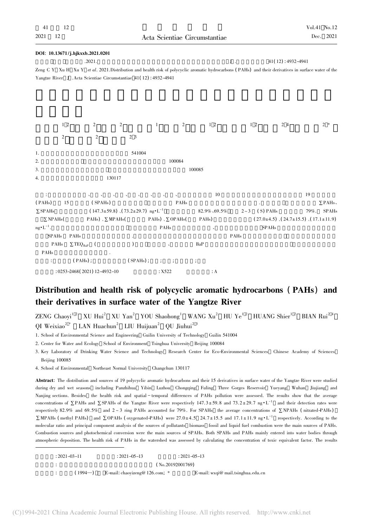| DOI: 10.13671/j.hjkxxb.2021.0201                                                                                                                      |                                                  |                  |                             |                      |             |                                                          |                      |
|-------------------------------------------------------------------------------------------------------------------------------------------------------|--------------------------------------------------|------------------|-----------------------------|----------------------|-------------|----------------------------------------------------------|----------------------|
|                                                                                                                                                       | .2021.                                           |                  |                             |                      | ${\bf J}$ . | 41(12): 4932-4941                                        |                      |
| Zeng C Y Xu H Xu Y et al. 2021. Distribution and health risk of polycyclic aromatic hydrocarbons (PAHs) and their derivatives in surface water of the |                                                  |                  |                             |                      |             |                                                          |                      |
| Yangtze River J .Acta Scientiae Circumstantiae 41(12): 4932-4941                                                                                      |                                                  |                  |                             |                      |             |                                                          |                      |
|                                                                                                                                                       |                                                  |                  |                             |                      |             |                                                          |                      |
|                                                                                                                                                       |                                                  |                  |                             |                      |             |                                                          |                      |
|                                                                                                                                                       |                                                  |                  |                             |                      |             |                                                          |                      |
|                                                                                                                                                       |                                                  |                  |                             |                      |             |                                                          |                      |
| 1 <sub>2</sub>                                                                                                                                        | 2                                                | $\boldsymbol{2}$ | 2<br>$\mathbf{1}$           | $1\,2$               | $1\,2$      | 24                                                       | $2*$                 |
| $\boldsymbol{2}$                                                                                                                                      | $\overline{c}$                                   | 2 3              |                             |                      |             |                                                          |                      |
|                                                                                                                                                       |                                                  |                  |                             |                      |             |                                                          |                      |
| 1.                                                                                                                                                    |                                                  | 541004           |                             |                      |             |                                                          |                      |
| 2.                                                                                                                                                    |                                                  |                  | 100084                      |                      |             |                                                          |                      |
| 3.                                                                                                                                                    |                                                  |                  |                             | 100085               |             |                                                          |                      |
| 4.                                                                                                                                                    | 130117                                           |                  |                             |                      |             |                                                          |                      |
|                                                                                                                                                       |                                                  |                  |                             |                      |             |                                                          |                      |
| ÷                                                                                                                                                     |                                                  |                  |                             | 10                   |             |                                                          | 19                   |
| (PAHs)<br>15                                                                                                                                          | (SPAHs)                                          |                  | PAHs                        |                      |             |                                                          | $\Sigma$ PAHs        |
| $\Sigma$ SPAHs                                                                                                                                        | $(147.3 \pm 59.8)$ $(73.2 \pm 29.7)$ ng $L^{-1}$ |                  |                             | 82.9% - 69.5%        | $2 - 3$     | (S) PAHs                                                 | 79%.<br><b>SPAHs</b> |
| $\Sigma$ NPAHs(                                                                                                                                       | PAHs) $\sqrt{\sum} MPAHs$                        |                  | PAHs) $\sqrt{\sum}$ OPAHs(  | PAH <sub>s</sub> )   |             | $(27.0 \pm 4.5)$ , $(24.7 \pm 15.5)$ , $(17.1 \pm 11.9)$ |                      |
| $ng \cdot L^{-1}$ .                                                                                                                                   |                                                  |                  | PAHs                        |                      |             | <b>SPAHs</b>                                             |                      |
| <b>SPAHs</b><br>PAHs                                                                                                                                  |                                                  |                  |                             |                      | PAHs        |                                                          |                      |
| PAHs<br>$\Sigma$ TEQ <sub>BaP</sub> (                                                                                                                 |                                                  | $\mathcal{C}$    |                             | BaP                  |             |                                                          |                      |
| PAHs                                                                                                                                                  |                                                  |                  |                             |                      |             |                                                          |                      |
| $(PAHs)$ ;<br>÷                                                                                                                                       |                                                  | $(SPAHs)$ ;      | $\frac{1}{l}$ $\frac{1}{l}$ | $\ddot{\phantom{a}}$ |             |                                                          |                      |
|                                                                                                                                                       | $: 0253 - 2468(2021)$ 12-4932-10                 |                  | : X522                      | $\therefore$ A       |             |                                                          |                      |

## Distribution and health risk of polycyclic aromatic hydrocarbons ( PAHs) and their derivatives in surface water of the Yangtze River

 $ZENG$  Chaoyi<sup>12</sup> XU Hui<sup>2</sup> XU Yan<sup>2</sup> YOU Shaohong<sup>1</sup> WANG Xu<sup>2</sup> HU Ye<sup>12</sup> HUANG Shier<sup>12</sup> BIAN Rui<sup>24</sup>  $\overline{O}$ I Weixiao<sup>2</sup> \* LAN Huachun<sup>2</sup> LIU Huijuan<sup>2</sup>  $\overline{O}$ U Jiuhui<sup>23</sup>

1. School of Environmental Science and Engineering Guilin University of Technology Guilin 541004

2. Center for Water and Ecology School of Environment Tsinghua University Beijing 100084

3. Key Laboratory of Drinking Water Science and Technology Research Center for Eco-Environmental Sciences Chinese Academy of Sciences Beijing 100085

4. School of Environmental Northeast Normal University Changchun 130117

Abstract: The distribution and sources of 19 polycyclic aromatic hydrocarbons and their 15 derivatives in surface water of the Yangtze River were studied during dry and wet seasons including Panzhihua Yibin Luzhou Chongqing Fuling Three Gorges Reservoir Yueyang Wuhan Jiujiang and Nanjing sections. Besides the health risk and spatial - temporal differences of PAHs pollution were assessed. The results show that the average concentrations of  $\Sigma$ PAHs and  $\Sigma$ SPAHs of the Yangtze River were respectively 147.3±59.8 and 73.2±29.7 ng $\cdot L^{-1}$  and their detection rates were respectively 82.9% and 69.5% and  $2 \sim 3$  ring PAHs accounted for 79%. For SPAHs the average concentrations of ∑NPAHs (nitrated-PAHs) ∑MPAHs (methyl PAHs) and ∑OPAHs (oxygenated-PAHs) were 27.0±4.5 24.7±15.5 and 17.1±11.9 ng•L<sup>-1</sup> respectively. According to the molecular ratio and principal component analysis of the sources of pollutants biomass fossil and liquid fuel combustion were the main sources of PAHs. Combustion sources and photochemical conversion were the main sources of SPAHs. Both SPAHs and PAHs mainly entered into water bodies through atmospheric deposition. The health risk of PAHs in the watershed was assessed by calculating the concentration of toxic equivalent factor. The results

|  | $: 2021 - 03 - 11$ | $: 2021 - 05 - 13$                  | $: 2021 - 05 - 13$  |                                      |
|--|--------------------|-------------------------------------|---------------------|--------------------------------------|
|  |                    |                                     | $(N_0.20192001769)$ |                                      |
|  | $(1994-)$          | E-mail: chaoyizeng@ $126$ .com, $*$ |                     | E-mail: $wxqi@$ mail.tsinghua.edu.cn |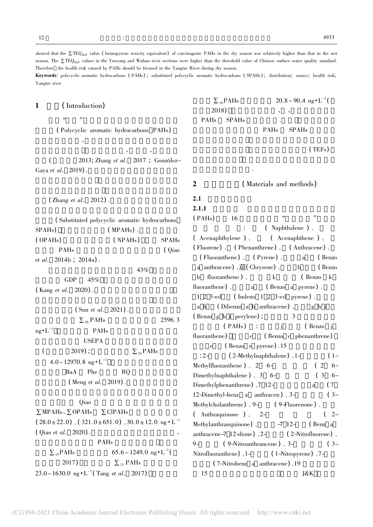Yangtze river

1 (Introduction)  $\alpha$  , where  $\alpha$ (Polycyclic aromatic hydrocarbons PAHs)  $\mathcal{R}$ 石油类物质污染 具有半挥发性、疏水性、亲脂性的  $(2013;$  Zhang et al.  $2017$  ; González-Gaya et al.  $2019$ .  $(Zhang et al. 2012)$ . (Substituted polycyclic aromatic hydrocarbons)  $SPAHs$ ) (MPAHs), ( OPAHs) ( NPAHs) , SPAHs PAHs (Qiao et al.  $2014b$  ;  $2014a$ ). 43%  $GDP$  45%  $(Kang et al. 2020)$ .  $(Sun et al. 2021)$ .  $\sum_{16}$  PAHs 2596. 3  $mg \cdot L^{-1}$  PAHs USEPA (  $2019$ ) ;  $\Sigma_{16}PAHs$  $4.0 \sim 12970.8 \text{ ng} \cdot \text{L}^{-1}$ BaA Phe RQ  $(Meng et al. 2019)$ .  $Qiao$  $\Sigma$ MPAHs,  $\Sigma$ OPAHs  $\Sigma$ ClPAHs  $(28.0 \pm 22.0)$ ,  $(321.0 \pm 651.0)$ ,  $30.0 \pm 12.0$  ng  $\cdot L^{-1}$  $\sum_{16}$ PAHs 20.8 ~ 90.4 ng  $\cdot$  L<sup>-1</sup>  $2018$ ) , the contract of  $\sim$   $\sim$ PAHs SPAHs PAHs SPAHs  $(TEFs)$ 态保护提供数据支持. 2 (Materials and methods)  $2.1$  $2.1.1$  $( PAHs)$  16  $\mu$   $\mu$   $\mu$  $($  Naphthalene  $)$ . ( Acenaphthylene ) 、 ( Acenaphthene ) 、 ( Fluorene) 、 ( Phenanthrene) 、 ( Anthracene) 、 ( Fluoranthene) ( Pyrene) a ( Benzo a anthracene)  $\frac{1}{R}$  (Chrysene)  $\frac{1}{s}$  b (Benzo b fluoranthene) k (Benzo k fluoranthene)  $\lambda$  a ( Benzo a pyrene)  $\lambda$  $1 \t2 \t3 \text{-cd}$  (Indeno 1 2 3-cd pyrene). a h ( Dibenzo a h anthracene)  $\Box$  g h i  $(Benzo g h i perylene)$  ;  $3$  $e$  (Benzo e pyrene). 15 Methylcholanthrene)  $\sqrt{9}$  ( 9-Fluorenone )

showed that the  $\Sigma$ TEQ<sub>BaP</sub> value ( benzopyrene toxicity equivalent) of carcinogenic PAHs in the dry season was relatively higher than that in the wet season. The  $\Sigma$ TEQ<sub>BaP</sub> values in the Yueyang and Wuhan river sections were higher than the threshold value of Chinese surface water quality standard.

Keywords: polycyclic aromatic hydrocarbons ( PAHs) ; substituted polycyclic aromatic hydrocarbons ( SPAHs) ; distribution; source; health risk;

Therefore the health risk caused by PAHs should be focused in the Yangtze River during dry season.

 $($  Qiao et al. 2020).

PAHs  $\sum_{15}$ PAHs 65.6 ~ 1249.0 ng  $\cdot$  L<sup>-1</sup> 2017)  $\Sigma_{13}$  PAHs  $23.0 \sim 1630.0 \text{ ng} \cdot \text{L}^{-1}$  (Tang *et al.* 2017)

 $(PAHs)$  :  $i$   $(PAHs)$  i fluoranthene)  $c$  ( Benzo c phenanthrene)  $: 2 (2-Methylnaphthalene)$ ,  $1 (1-$ Methylfluoranthene  $)$ , 2 6- $(2$  6-Dimethylnaphthalene )  $\frac{3}{5}$  6- ( 3 6-Dimethylphenanthrene)  $\sqrt{7}$  12- a (7 12-Dimethyl-benz a anthracen)  $3-$  (3- $($  Anthraquinone  $)$ ,  $2 (2-$ Methylanthranquinone)  $-7$  12- (Benz a anthracene-7 12-dione)  $\sqrt{2}$  ( 2-Nitrofluorene) 9-  $(9-\text{Nitroanthrancene})$ , 3- $(3-\text{at}$ Nitrofluoranthene)  $\sqrt{1-\frac{1}{\pi}}$  ( 1-Nitropyrene)  $\sqrt{7-\frac{1}{\pi}}$  $(7-Nitrobenz a anthracene) .19$  $15$  J&K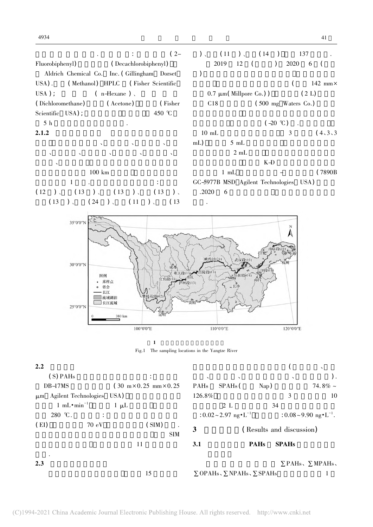

| 2.2     |                                |                                                     |           |                                                |                |                           | $\checkmark$                           |
|---------|--------------------------------|-----------------------------------------------------|-----------|------------------------------------------------|----------------|---------------------------|----------------------------------------|
|         | (S) PAHs                       |                                                     | $\lambda$ | $\lambda$                                      |                | $\boldsymbol{\checkmark}$ |                                        |
|         | DB-17MS                        | $(30 \text{ m} \times 0.25 \text{ mm} \times 0.25)$ | PAHs      | SPAH <sub>s</sub> (                            | $\text{Nap}$ ) |                           | 74.8% $\sim$                           |
| $\mu$ m | Agilent Technologies           | USA)                                                | 126.8%    |                                                |                | 3                         | 10                                     |
|         | 1 mL $\cdot$ min <sup>-1</sup> | $1 \mu L$                                           |           | 2 L                                            | 34             |                           |                                        |
|         | 280 °C.<br>$\ddot{\cdot}$      |                                                     |           | : $0.02 \sim 2.97$ ng $\cdot L^{-1}$           |                |                           | : $0.08 \sim 9.90$ ng $\cdot L^{-1}$ . |
| (EI)    | 70 eV                          | (SIM)<br><b>SIM</b>                                 | 3         |                                                |                | (Results and discussion)  |                                        |
|         |                                | 11                                                  | 3.1       |                                                | <b>PAHs</b>    | <b>SPAHs</b>              |                                        |
| 2.3     |                                | 15                                                  |           | $\Sigma$ OPAHs, $\Sigma$ NPAHs, $\Sigma$ SPAHs |                |                           | $\Sigma$ PAHs, $\Sigma$ MPAHs,         |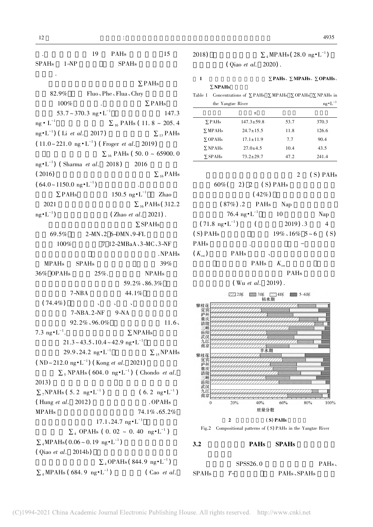. 19 PAHs 15  $SPAHs$   $1-NP$   $SPAHs$ 的检出. ∑PAHs  $82.9\%$  Fluo、Phe、Flua、Chry  $100\%$  .  $\Sigma$ PAHs  $53.7 \sim 370.3 \text{ ng} \cdot \text{L}^{-1}$  147.3 ng •  $L^{-1}$   $\sum_{16}$  PAHs ( 11. 8 ~ 205. 4 ng•L<sup>-1</sup>) (Li et al. 2017)  $\Sigma_{13}$  PAHs  $(11.0 \sim 221.0 \text{ ng} \cdot \text{L}^{-1})$  (Froger *et al.* 2019)  $\Sigma_{16}$  PAHs ( 50. 0 ~ 65900. 0 ng•L<sup>-1</sup>) (Sharma *et al.* 2018) 2016  $\sum_{16}$  PAHs  $(64.0 \sim 1150.0 \text{ ng} \cdot \text{L}^{-1})$ ) and the contract of  $\mathcal{A}$  $\Sigma$ PAHs 150.5 ng•L<sup>-1</sup> Zhao 2021  $\Sigma_{16}$  PAHs( 312.2  $ng \cdot L^{-1}$  $(Zhao et al. 2021)$ . ∑SPAHs 69.5%  $2-MN\sqrt{2}$  6-DMN $\sqrt{9-FL}$ 100% 7 12-2MBaA、3-MC、3-NF .NPAHs  $MPAHs$  SPAHs 39%  $36\%$  OPAHs  $25\%$ . NPAHs 89.2%、86.3%  $7-\text{NBA}$  44.1%  $(74.4\%)$  $7-NBA.2-NF$  9-NA  $92.2\%$ ,  $96.0\%$  11.6, 7.3 ng $\cdot L^{-1}$ .  $\Sigma$ . NPAHs  $21.3 \sim 43.5$ ,  $10.4 \sim 42.9$  ng $L^{-1}$ 29.9、24.2 ng•L<sup>-1</sup>  $\Sigma_{15}$ NPAHs  $(ND \sim 212.0 \text{ ng} \cdot \text{L}^{-1})$  (Kong *et al.* 2021)  $\sum_{5}$  NPAHs (604.0 ng•L<sup>-1</sup>) (Chondo *et al.*  $2013)$  $\sum_{7}$ NPAHs(5.2 ng•L<sup>-1</sup>) (6.2 ng•L<sup>-1</sup>)  $(Hung et al. 2012)$   $OPAHs$ MPAHs  $74.1\%$ , 65.2%  $17.1, 24.7$  ng $\cdot L^{-1}$  $\Sigma_4$  OPAHs ( 0. 02 ~ 0. 40 ng•L<sup>-1</sup>)  $\sum_{4}$ MPAHs( 0.06 ~ 0.19 ng  $\cdot L^{-1}$ ) ) and the contract of  $\mathcal{L}_{\mathcal{A}}$  $(Qiao et al. 2014b)$  $\sum_4$ OPAHs(844.9 ng•L<sup>-1</sup>)  $\sum_{4} \text{MPAHs}$  (684.9 ng•L<sup>-1</sup>) (Cao et al.)

## 2018)  $\Sigma_4 MPAHs(28.0 \text{ ng} \cdot \text{L}^{-1})$  $( Qiao et al. 2020).$

# 1  $\Sigma$  PAHs、 $\Sigma$  MPAHs、 $\Sigma$  OPAHs、

∑NPAHs Table 1 Concentrations of ∑PAHs ∑MPAHs ∑OPAHs ∑NPAHs in the Yangtze River  $n\sigma \cdot L^{-1}$ 

| $\mathbf{u}$ ranged $\mathbf{u}$ |                  |      | $\mathbf{u}_{\mathcal{D}}$ $\mathbf{u}$ |
|----------------------------------|------------------|------|-----------------------------------------|
|                                  | 土                |      |                                         |
| $\Sigma$ PAHs                    | $147.3 \pm 59.8$ | 53.7 | 370.3                                   |
| $\Sigma$ MPAH <sub>s</sub>       | $24.7 \pm 15.5$  | 11.8 | 126.6                                   |
| $\Sigma$ OPAHs                   | $17.1 \pm 11.9$  | 7.7  | 90.4                                    |
| $\Sigma$ NPAH <sub>s</sub>       | $27.0 \pm 4.5$   | 10.4 | 43.5                                    |
| $\Sigma$ SPAHs                   | $73.2 \pm 29.7$  | 47.2 | 241.4                                   |

$$
2 (S) PAHs 60% (2) 2 (S) PAHs
$$

 $(42%)$  $(87%)$ .2 PAHs Nap  $76.4 \text{ ng} \cdot \text{L}^{-1}$  10 Nap  $(71.8 \text{ ng} \cdot \text{L}^{-1})$  $(2019).3 \t 4$ ( S) PAHs  $19\% \cdot 16\%$  5 ~ 6 ( S) PAHs  $(K_{\text{ow}})$  PAHs

 $PAHs$   $K_{\text{ow}}$ PAHs

 $(Wu et al. 2019)$ .





3.2 PAHs SPAHs

|       | SPSS26.0 |                                      | PAHs |
|-------|----------|--------------------------------------|------|
| SPAHs | $T-$     | PAH <sub>s</sub> , SPAH <sub>s</sub> |      |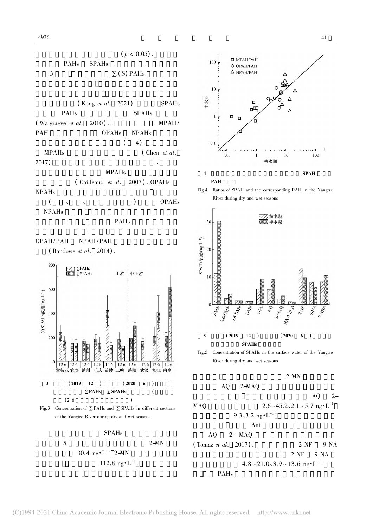

$$
\rm SPAHs
$$

 $5$   $2-MN$  $30.4 \text{ ng} \cdot \text{L}^{-1} 2 - \text{MN}$  $112.8 \text{ ng} \cdot \text{L}^{-1}$ 







Fig.5 Concentration of SPAHs in the surface water of the Yangtze River during dry and wet seasons

 $2-MN$ 

$$
. AQ \qquad 2\text{-}MAQ
$$

 $AQ = 2-$ MAQ  $2.6 \sim 45.2$ ,  $2.1 \sim 5.7$  ng $^{\bullet}$ L<sup>-1</sup>  $9.3, 3.2$  ng $\cdot L^{-1}$ 

Ant

\n
$$
AQ \quad 2 - MAQ
$$
\n(Tomaz *et al.* 2017).

\n2-NF

\n
$$
Q - NQ
$$

高于丰水期 枯水期长江重点江段 2-NF 9-NA 质量浓度分别为 4.8 ~ 21.0、3.9 ~ 13.6 ng·L-1 .据报 气相 PAHs 在白天和夜间分别与羟基自由基和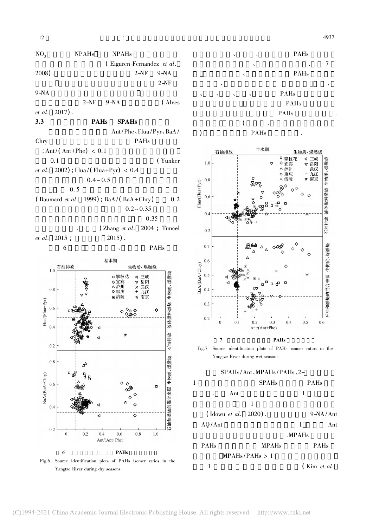

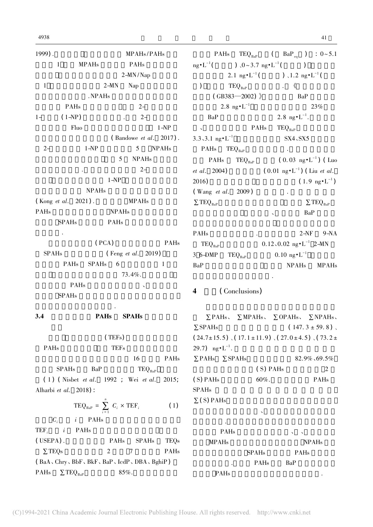| 1999).       |                        |                     |              | MPAHs/PAHs                |          |
|--------------|------------------------|---------------------|--------------|---------------------------|----------|
| $\mathbf{1}$ |                        | <b>MPAHs</b>        |              | PAHs                      |          |
|              |                        |                     |              | $2-MN/Nap$                |          |
| $\mathbf{1}$ |                        | $2-MN$              |              | Nap                       |          |
|              |                        | .NPAHs              |              |                           |          |
|              | PAHs                   |                     |              | $2 -$                     |          |
| $1 -$        | $(1-NP)$               |                     |              | $2 -$                     |          |
|              | Fluo                   |                     |              |                           | $1 - NP$ |
|              |                        |                     |              | (Bandowe et al. 2017).    |          |
| $2 -$        |                        | $1 - NP$            |              | 5 NPAHs                   |          |
|              |                        |                     | 5            | <b>NPAHs</b>              |          |
|              |                        |                     |              | $2 -$                     |          |
|              |                        | $1 - NP$            |              |                           |          |
|              |                        | <b>NPAHs</b>        |              |                           |          |
|              | (Kong et al. $2021$ ). |                     |              | <b>MPAHs</b>              |          |
| <b>PAHs</b>  |                        |                     | <b>NPAHs</b> |                           |          |
|              | <b>SPAHs</b>           | PAHs                |              |                           |          |
|              |                        |                     |              |                           |          |
|              |                        | (PCA)               |              |                           | PAHs     |
| <b>SPAHs</b> |                        |                     |              | (Feng <i>et al.</i> 2019) |          |
|              | PAHs                   | SPAH <sub>s</sub> 6 |              |                           | 1        |
|              |                        |                     | 73.4%.       |                           |          |
|              | PAHs                   |                     |              |                           |          |
|              | <b>SPAHs</b>           |                     |              |                           |          |
|              |                        |                     |              |                           |          |
| 3.4          |                        | PAHs SPAHs          |              |                           |          |
|              |                        | (TEFs)              |              |                           |          |
| PAHs         |                        |                     | <b>TEFs</b>  |                           |          |
|              |                        |                     |              | 16                        | PAHs     |
|              |                        |                     |              |                           |          |

 $SPAHs$   $BaP$   $TEQ_{BaP}$ ( 1 ) ( Nisbet et al. 1992 ; Wei et al. 2015; Alharbi et al. 2018) :

$$
TEQ_{BaP} = \sum_{i=1}^{n} C_i \times TEF_i
$$
 (1)  

$$
C_i \qquad i \qquad PAHs
$$

TEF<sub>i</sub>  $i$  PAHs  $( \text{USEPA})$ . PAHs SPAHs TEQs  $\Sigma$ TEQs 2 7 PAHs ( BaA、Chry、BbF、BkF、BaP、IcdP、DBA、BghiP ) PAHs  $\Sigma$  TEQ<sub>BaP</sub> 85%.

PAHs  $TEQ_{BaP}$  (  $BaP_{eq}$  ) : 0~5.1  $ng \cdot L^{-1}$ (  $( )_0$   $\sim$  3.7 ng  $\cdot L^{-1}$  $($  )  $2.1 \text{ ng} \cdot L^{-1}$  ( (  $\big)$ , 1.2 ng $\cdot L^{-1}$  ( )  $\text{TEQ}_{\text{BaP}}$  . 《  $(GB383-2002)$  》 BaP  $2.8 \text{ ng} \cdot \text{L}^{-1}$  23% BaP  $2.8 \text{ ng} \cdot \text{L}^{-1}$ . .枯水期岳  $\mathsf{PAHs}$  TEQ<sub>BaP</sub>  $3.3\sqrt{3}$ .1 ng  $\cdot$  L<sup>-1</sup> SX4 $\sqrt{S}$ SX5 PAHs  $TEQ_{BaP}$  . PAHs  $TEQ_{Bap}$  ( 0.03 ng  $L^{-1}$  ) ( Luo et al. 2004)  $(0.01 \text{ ng} \cdot \text{L}^{-1})$  (Liu et al.  $2016$ )  $(1.9 \text{ ng} \cdot \text{L}^{-1})$  $(Wang et al. 2009)$  $\Sigma$ TEQ<sub>BaP</sub>  $\Sigma$ TEQ<sub>BaP</sub>  $\sim$  BaP

| PAHs                        | ٠ |                                       | $2-NF$ 9-NA   |
|-----------------------------|---|---------------------------------------|---------------|
| $\mathrm{TEQ}_\mathrm{BaP}$ |   | $0.12, 0.02$ ng $\cdot L^{-1}$ 2-MN   |               |
| 3 6-DMP $TEQ_{BAP}$         |   | $0.10 \text{ ng} \cdot \text{L}^{-1}$ |               |
| BaP                         |   | NPAH <sub>s</sub>                     | <b>MPAH</b> s |

### 4 (Conclusions)

PAH<sub>s</sub>

所引起的健康风险相对较小.

∑PAHs、 ∑MPAHs、 ∑OPAHs、 ∑NPAHs、  $\Sigma$  SPAHs ( 147. 3 ± 59. 8).  $(24.7\pm15.5)$ ,  $(17.1\pm11.9)$ ,  $(27.0\pm4.5)$ ,  $(73.2\pm$ 29.7)  $ng \cdot L^{-1}$ . . 枯水期和丰水期所有江段样品  $\Sigma$ PAHs  $\Sigma$ SPAHs 82.9% 69.5%  $(S)$  PAHs 2  $(S)$  PAHs 60%. PAHs SPAHs  $\Sigma(S)$  PAHs 可能是下游人口密度大、工业活动多和航运较发达 等因素导致.通过分子比值法及主成分分析可知长江 PAHs the set of the set of the set of the set of the set of the set of the set of the set of the set of the set of the set of the set of the set of the set of the set of the set of the set of the set of the set of the set  $MPAHs$   $NPAHs$ SPAHs PAHs . PAHs BaP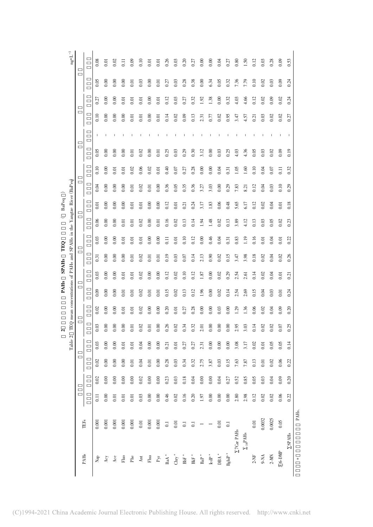|                                  |                    |                    |      |      |         | $\sim$ |      | <b>PAHs</b> | <b>SPAHs</b>                                                          |                   | TEQ   |      | BaPeq              |      |                  |      |                          |                   |      |      |                                         |
|----------------------------------|--------------------|--------------------|------|------|---------|--------|------|-------------|-----------------------------------------------------------------------|-------------------|-------|------|--------------------|------|------------------|------|--------------------------|-------------------|------|------|-----------------------------------------|
|                                  |                    |                    |      |      | Table 2 |        |      |             | TEQ mean concentrations of PAHs and SPAHs in the Yangtze River (BaPeq |                   |       |      |                    |      |                  |      |                          |                   |      |      | $\mathrm{ng}^{\bullet} \mathrm{L}^{-1}$ |
| PAHs                             | <b>TEFs</b>        |                    |      |      |         |        |      |             |                                                                       |                   |       |      |                    |      |                  |      |                          |                   |      |      |                                         |
| Nap                              | 0.001              | $\overline{0}$ .11 | 0.02 | 0.02 | 0.03    | 0.03   | 0.02 | 0.09        | 0.03                                                                  | $\overline{0.31}$ | 0.03  | 0.06 | $\overline{0}$ .01 | 0.04 | 0.10             | 0.05 | H                        | 0.10              | 0.27 | 0.05 | 0.08                                    |
| $\mathbf{A}\mathbf{c}\mathbf{y}$ | 0.001              | 0.00               | 0.00 | 0.00 | 0.00    | 0.00   | 0.00 | 0.00        | 0.00                                                                  | 0.00              | 0.00  | 0.00 | 0.00               | 0.00 | 0.00             | 0.00 | т                        | 0.00              | 0.00 | 0.00 | 0.01                                    |
| $\rm{Ace}$                       | 0.001              | 0.01               | 0.00 | 0.00 | 0.00    | 0.00   | 0.00 | 0.00        | 0.00                                                                  | 0.00              | 0.00  | 0.00 | 0.00               | 0.00 | 0.01             | 0.00 |                          | 0.00              | 0.00 | 0.00 | 0.02                                    |
| ${\rm Fluo}$                     | 0.001              | 0.01               | 0.00 | 0.00 | 0.01    | 0.00   | 0.01 | 0.01        | 0.01                                                                  | 0.00              | 0.01  | 0.01 | 0.00               | 0.00 | 0.01             | 0.00 | $\overline{\phantom{a}}$ | 0.00              | 0.01 | 0.00 | $\overline{0}$ .                        |
| Phe                              | 0.001              | 0.01               | 0.00 | 0.01 | 0.01    | 0.01   | 0.01 | 0.01        | 0.01                                                                  | 0.01              | 0.01  | 0.01 | 0.01               | 0.01 | 0.02             | 0.01 | $\mathbf{I}$             | 0.01              | 0.01 | 0.01 | 0.09                                    |
| $\rm{Ant}$                       | $0.01$             | 0.03               | 0.02 | 0.04 | 0.04    | 0.02   | 0.02 | 0.02        | 0.02                                                                  | 0.02              | 0.01  | 0.02 | 0.01               | 0.02 | 0.06             | 0.02 | 1                        | $\overline{0.01}$ | 0.01 | 0.03 | 0.10                                    |
| ${\rm Flua}$                     | 0.001              | 0.00               | 0.00 | 0.01 | 0.00    | 0.01   | 0.00 | 0.01        | 0.00                                                                  | 0.01              | 0.00  | 0.00 | 0.00               | 0.01 | 0.02             | 0.00 | L                        | 0.00              | 0.00 | 0.00 | 0.01                                    |
| $\rm Pyr$                        | 0.001              | 0.00               | 0.00 | 0.00 | 0.00    | 0.00   | 0.00 | 0.01        | 0.00                                                                  | 0.01              | 0.00  | 0.01 | 0.00               | 0.00 | 0.01             | 0.01 | I.                       | $\overline{0}$ .  | 0.01 | 0.01 | 0.01                                    |
| $_{\rm{Bad}}$ $^*$               | $\rm G$            | 0.46               | 0.23 | 0.28 | 0.21    | 0.26   | 0.20 | 0.15        | 0.12                                                                  | 0.19              | $\Xi$ | 0.16 | 0.12               | 0.36 | 0.40             | 0.25 | $\mathsf I$              | 0.14              | 0.12 | 0.27 | 0.26                                    |
| ${\rm Chry}^*$                   | 0.01               | 0.02               | 0.03 | 0.03 | 0.01    | 0.02   | 0.01 | 0.02        | 0.02                                                                  | 0.03              | 0.01  | 0.02 | 0.01               | 0.05 | 0.07             | 0.03 | $\overline{1}$           | 0.02              | 0.03 | 0.03 | 0.03                                    |
| ${\rm BbF}^*$                    | $\overline{0}$ .   | 0.16               | 0.18 | 0.34 | 0.27    | 0.34   | 0.27 | 0.13        | 0.10                                                                  | 0.07              | 0.10  | 0.13 | 0.21               | 0.35 | 0.27             | 0.29 | $\overline{\phantom{a}}$ | 0.09              | 0.27 | 0.28 | 0.20                                    |
| $\mathrm{BkF}^*$                 | $\Xi$              | 0.20               | 0.04 | 0.32 | 0.27    | 0.32   | 0.28 | 0.12        | 0.12                                                                  | 0.14              | 0.12  | 0.14 | 0.24               | 0.36 | 0.28             | 0.30 |                          | 0.13              | 0.32 | 0.38 | 0.27                                    |
| $\mbox{BaP}^*$                   |                    | 1.97               | 0.00 | 2.75 | 2.31    | 2.01   | 0.00 | 1.96        | 1.87                                                                  | 2.13              | 0.00  | 1.94 | 3.17               | 3.27 | 0.00             | 3.12 | I.                       | 2.31              | 1.92 | 0.00 | 0.00                                    |
| $\operatorname*{led}\nolimits^*$ |                    | 0.00               | 0.00 | 3.87 | 0.00    | 0.00   | 0.00 | 0.00        | 0.00                                                                  | 0.90              | 0.46  | 1.48 | 1.83               | 3.03 | 0.00             | 0.00 |                          | 0.77              | 1.38 | 6.34 | 0.00                                    |
| $\rm DBA$ $^*$                   | 0.01               | 0.00               | 0.04 | 0.03 | 0.00    | 0.00   | 0.03 | 0.02        | 0.02                                                                  | 0.02              | 0.04  | 0.02 | 0.06               | 0.00 | 0.04             | 0.03 |                          | 0.02              | 0.00 | 0.05 | 0.04                                    |
| $\mathbf{BghiP}^*$               | $\overline{0}$ .   | $0.00\,$           | 0.27 | 0.15 | 0.00    | 0.00   | 0.00 | 0.14        | 0.29                                                                  | 0.15              | 0.31  | 0.13 | 0.48               | 0.29 | 0.31             | 0.25 | I                        | 0.95              | 0.32 | 0.32 | 0.27                                    |
| Z7Car PAHs                       |                    | 2.80               | 0.52 | 7.63 | 3.08    | 2.95   | 1.29 | 2.54        | 2.54                                                                  | 3.47              | 0.83  | 3.89 | 5.65               | 7.83 | 1.05             | 4.03 | $\overline{\phantom{a}}$ | 3.47              | 4.03 | 7.36 | 0.80                                    |
| $\Sigma_{16} \text{PAHs}$        |                    | 2.98               | 0.85 | 7.87 | 3.17    | 3.03   | 1.36 | 2.69        | 2.61                                                                  | 3.98              | 1.19  | 4.12 | 6.17               | 8.21 | 1,60             | 4.36 |                          | 4.57              | 4.66 | 7.79 | 1.50                                    |
| $2-NF$                           | $0.01\,$           | 0.12               | 0.05 | 0.13 | 0.02    | 0.14   | 0.06 | 0.15        | 0.14                                                                  | 0.18              | 0.16  | 0.13 | 0.12               | 0.12 | 0.10             | 0.05 |                          | 0.21              | 0.12 | 0.10 | 0.12                                    |
| 9-NA                             | 0.0032             | 0.02               | 0.03 | 0.01 | 0.01    | 0.02   | 0.02 | 0.04        | 0.02                                                                  | 0.02              | 0.01  | 0.03 | 0.02               | 0.04 | 0.04             | 0.03 | т                        | 0.03              | 0.02 | 0.02 | 0.03                                    |
| $2-MN$                           | 0.0025             | 0.02               | 0.04 | 0.02 | 0.05    | 0.02   | 0.04 | 0.03        | 0.04                                                                  | 0.04              | 0.04  | 0.05 | 0.04               | 0.03 | 0.07             | 0.02 | f,                       | 0.02              | 0.09 | 0.03 | 0.28                                    |
| 3 6-DMP                          | 0.05               | 0.06               | 0.09 | 0.06 | 0.05    | 0.07   | 0.09 | 0.01        | 0.01                                                                  | 0.02              | 0.01  | 0.02 | 0.01               | 0.10 | $\overline{0}$ . | 0.09 |                          | 0.02              | 0.02 | 0.09 | 0.09                                    |
| $\Sigma$ SPAHs                   |                    | 0.22               | 0.20 | 0.22 | 0.14    | 0.25   | 0.20 | 0.24        | 0.21                                                                  | 0.26              | 0.22  | 0.23 | 0.18               | 0.29 | 0.32             | 0.19 | $\mathbf{I}$             | 0.27              | 0.24 | 0.24 | 0.53                                    |
|                                  | PAH <sub>s</sub> . |                    |      |      |         |        |      |             |                                                                       |                   |       |      |                    |      |                  |      |                          |                   |      |      |                                         |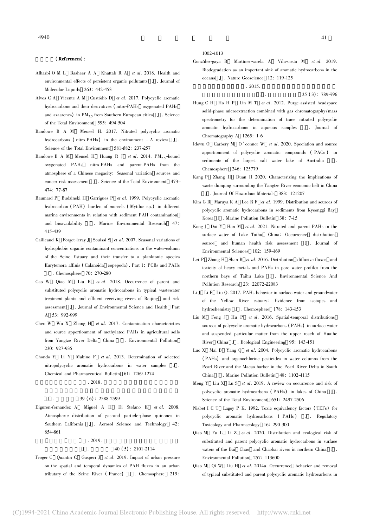(References) :

- Alharbi O M L Basheer A A Khattab R A et al. 2018. Health and environmental effects of persistent organic pollutants J . Journal of Molecular Liquids 263: 442-453
- Alves C A Vicente A M Custódio D et al. 2017. Polycyclic aromatic hydrocarbons and their derivatives ( nitro-PAHs oxygenated PAHs and azaarenes) in  $PM_2$ , from Southern European cities J. Science of the Total Environment 595: 494-504
- Bandowe B A M Meusel H. 2017. Nitrated polycyclic aromatic hydrocarbons ( nitro-PAHs) in the environment - A review J . Science of the Total Environment 581-582: 237-257
- Bandowe B A M Meusel H Huang R J et al. 2014. PM<sub>2.5</sub>-bound oxygenated PAHs nitro-PAHs and parent-PAHs from the atmosphere of a Chinese megacity: Seasonal variation sources and cancer risk assessment J . Science of the Total Environment 473- 474: 77-87
- Baumard P Budzinski H Garrigues P et al. 1999. Polycyclic aromatic hydrocarbon ( PAH) burden of mussels ( Mytilus sp.) in different marine environments in relation with sediment PAH contamination and bioavailability J . Marine Environmental Research 415-439
- Cailleaud K Forget-leray J Souissi S et al. 2007. Seasonal variations of hydrophobic organic contaminant concentrations in the water-column of the Seine Estuary and their transfer to a planktonic species Eurytemora affinis ( Calanoida copepoda) . Part 1: PCBs and PAHs J . Chemosphere 70: 270-280
- Cao W Qiao M Liu B et al. 2018. Occurrence of parent and substituted polycyclic aromatic hydrocarbons in typical wastewater treatment plants and effluent receiving rivers of Beijing and risk assessment J . Journal of Environmental Science and Health Part A 53: 992-999
- Chen W Wu X Zhang H et al. 2017. Contamination characteristics and source apportionment of methylated PAHs in agricultural soils from Yangtze River Delta China J . Environmental Pollution 230: 927-935
- Chondo Y Li Y Makino F et al. 2013. Determination of selected nitropolycyclic aromatic hydrocarbons in water samples Chemical and Pharmaceutical Bulletin 61: 1269-1274  $. 2018.$

#### $J$  .  $39 (6)$  : 2588-2599

Eiguren-fernandez A Miguel A H Di Stefano E et al. 2008. Atmospheric distribution of gas-and particle-phase quinones in Southern California J . Aerosol Science and Technology 42: 854-861

#### $. 2019.$

#### $J \t. 40 (5): 2101-2114$

Froger C Quantin C Gasperi J et al. 2019. Impact of urban pressure on the spatial and temporal dynamics of PAH fluxes in an urban tributary of the Seine River (France) J. Chemosphere 219:

1002-1013

González-gaya B Martínez-varela A Vila-costa M et al. 2019. Biodegradation as an important sink of aromatic hydrocarbons in the oceans J . Nature Geoscience 12: 119-125

 $.2015.$  $J \t35 (3) : 789-796$ 

- Hung C H Ho H P Lin M T et al. 2012. Purge-assisted headspace solid-phase microextraction combined with gas chromatography /mass spectrometry for the determination of trace nitrated polycyclic aromatic hydrocarbons in aqueous samples J . Journal of Chromatography A 1265: 1-6
- Idowu O Carbery M O'connor W et al. 2020. Speciation and source apportionment of polycyclic aromatic compounds ( PACs ) in sediments of the largest salt water lake of Australia J . Chemosphere 246: 125779
- Kang P Zhang H Duan H 2020. Characterizing the implications of waste dumping surrounding the Yangtze River economic belt in China J . Journal Of Hazardous Materials 383: 121207
- Kim G B Maruya K A Lee R F et al. 1999. Distribution and sources of polycyclic aromatic hydrocarbons in sediments from Kyeonggi Bay Korea J . Marine Pollution Bulletin 38: 7-15
- Kong J Dai Y Han M et al. 2021. Nitrated and parent PAHs in the surface water of Lake Taihu China: Occurrence distribution source and human health risk assessment J . Journal of Environmental Sciences 102: 159-169
- Lei P Zhang H Shan B et al. 2016. Distribution diffusive fluxes and toxicity of heavy metals and PAHs in pore water profiles from the northern bays of Taihu Lake J . Environmental Science And Pollution Research 23: 22072-22083
- Li J Li F Liu Q. 2017. PAHs behavior in surface water and groundwater of the Yellow River estuary: Evidence from isotopes and hydrochemistry J . Chemosphere 178: 143-153
- Liu M Feng J Hu P et al. 2016. Spatial-temporal distributions sources of polycyclic aromatic hydrocarbons ( PAHs) in surface water and suspended particular matter from the upper reach of Huaihe River China J . Ecological Engineering 95: 143-151
- Luo X Mai B Yang Q et al. 2004. Polycyclic aromatic hydrocarbons ( PAHs) and organochlorine pesticides in water columns from the Pearl River and the Macao harbor in the Pearl River Delta in South China J . Marine Pollution Bulletin 48: 1102-1115
- Meng Y Liu X Lu S et al. 2019. A review on occurrence and risk of polycyclic aromatic hydrocarbons ( PAHs) in lakes of China J . Science of the Total Environment 651: 2497-2506
- Nisbet I C T Lagoy P K. 1992. Toxic equivalency factors ( TEFs) for polycyclic aromatic hydrocarbons (PAHs) J. Regulatory Toxicology and Pharmacology 16: 290-300
- Qiao M Fu L Li Z et al. 2020. Distribution and ecological risk of substituted and parent polycyclic aromatic hydrocarbons in surface waters of the Bai Chao and Chaobai rivers in northern China J . Environmental Pollution 257: 113600
- Qiao M Qi W Liu H et al. 2014a. Occurrence behavior and removal of typical substituted and parent polycyclic aromatic hydrocarbons in